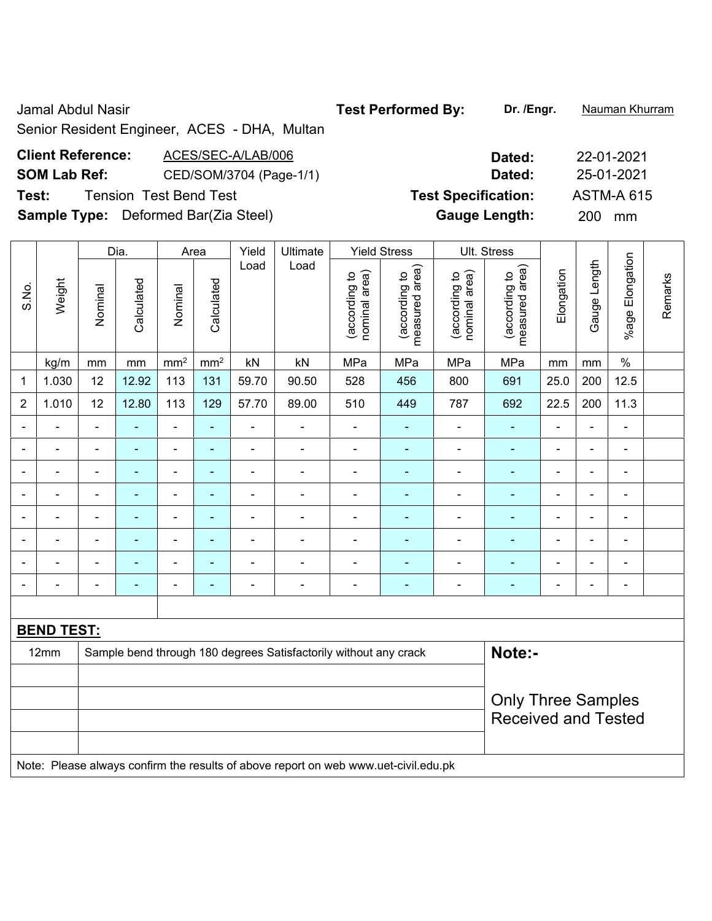Jamal Abdul Nasir **Test Performed By:** Dr. /Engr. **Nauman Khurram** 

Senior Resident Engineer, ACES - DHA, Multan

| <b>Client Reference:</b>                    | ACES/SEC-A/LAB/006      | Dated:                     | 22-01-2021        |
|---------------------------------------------|-------------------------|----------------------------|-------------------|
| <b>SOM Lab Ref:</b>                         | CED/SOM/3704 (Page-1/1) | Dated:                     | 25-01-2021        |
| Test:                                       | Tension  Test Bend Test | <b>Test Specification:</b> | <b>ASTM-A 615</b> |
| <b>Sample Type:</b> Deformed Bar(Zia Steel) |                         | <b>Gauge Length:</b>       | 200 mm            |

|                |                   | Dia.           |                | Area                         |                          | Yield                    | Ultimate                                                         |                                | <b>Yield Stress</b>             |                                | Ult. Stress                     |                |                          |                 |         |
|----------------|-------------------|----------------|----------------|------------------------------|--------------------------|--------------------------|------------------------------------------------------------------|--------------------------------|---------------------------------|--------------------------------|---------------------------------|----------------|--------------------------|-----------------|---------|
| S.No.          | Weight            | Nominal        | Calculated     | Nominal                      | Calculated               | Load                     | Load                                                             | nominal area)<br>(according to | (according to<br>measured area) | (according to<br>nominal area) | measured area)<br>(according to | Elongation     | Gauge Length             | %age Elongation | Remarks |
|                | kg/m              | mm             | mm             | mm <sup>2</sup>              | mm <sup>2</sup>          | kN                       | kN                                                               | MPa                            | MPa                             | MPa                            | MPa                             | mm             | mm                       | $\%$            |         |
| 1              | 1.030             | 12             | 12.92          | 113                          | 131                      | 59.70                    | 90.50                                                            | 528                            | 456                             | 800                            | 691                             | 25.0           | 200                      | 12.5            |         |
| $\overline{2}$ | 1.010             | 12             | 12.80          | 113                          | 129                      | 57.70                    | 89.00                                                            | 510                            | 449                             | 787                            | 692                             | 22.5           | 200                      | 11.3            |         |
|                | ä,                | $\blacksquare$ | $\blacksquare$ | $\blacksquare$               | ÷,                       | ÷,                       | $\blacksquare$                                                   | $\blacksquare$                 | $\blacksquare$                  | $\blacksquare$                 | $\blacksquare$                  | $\blacksquare$ | ä,                       | $\blacksquare$  |         |
| $\blacksquare$ | -                 | $\blacksquare$ | $\blacksquare$ | $\blacksquare$               | $\blacksquare$           | $\blacksquare$           | $\blacksquare$                                                   | $\blacksquare$                 | $\overline{\phantom{0}}$        | $\blacksquare$                 | ۰                               | $\blacksquare$ | $\overline{\phantom{a}}$ | $\blacksquare$  |         |
| ÷              | $\blacksquare$    | $\blacksquare$ | Ē,             | $\qquad \qquad \blacksquare$ | ۰                        | $\blacksquare$           | $\overline{\phantom{a}}$                                         | $\blacksquare$                 | $\blacksquare$                  | $\blacksquare$                 | ÷                               | $\blacksquare$ | $\blacksquare$           | $\blacksquare$  |         |
|                |                   |                | $\blacksquare$ | $\blacksquare$               | ä,                       | $\blacksquare$           | L,                                                               | $\blacksquare$                 | ä,                              | $\blacksquare$                 | $\blacksquare$                  | $\blacksquare$ | L,                       | $\blacksquare$  |         |
| -              | -                 | $\blacksquare$ | ۰              | $\qquad \qquad \blacksquare$ | ٠                        | $\blacksquare$           | $\overline{a}$                                                   | $\blacksquare$                 | $\overline{\phantom{0}}$        | $\blacksquare$                 | $\blacksquare$                  | $\blacksquare$ | $\blacksquare$           | $\blacksquare$  |         |
| ٠              | $\blacksquare$    | $\blacksquare$ | ÷              | $\qquad \qquad \blacksquare$ | $\blacksquare$           | $\blacksquare$           | $\blacksquare$                                                   | $\overline{\phantom{0}}$       | ÷                               | $\overline{\phantom{0}}$       | ÷                               | $\blacksquare$ | $\blacksquare$           | $\blacksquare$  |         |
|                |                   |                | Ē.             | $\blacksquare$               | ۰                        | $\blacksquare$           | $\blacksquare$                                                   | $\blacksquare$                 | ۰                               | $\blacksquare$                 | $\blacksquare$                  | $\blacksquare$ | L,                       | $\blacksquare$  |         |
|                | ۳                 | $\blacksquare$ | Ē.             | $\blacksquare$               | $\overline{\phantom{0}}$ | $\overline{\phantom{0}}$ | $\overline{\phantom{0}}$                                         | $\blacksquare$                 | $\overline{\phantom{0}}$        | $\overline{\phantom{0}}$       | $\blacksquare$                  | $\blacksquare$ | $\blacksquare$           | $\blacksquare$  |         |
|                |                   |                |                |                              |                          |                          |                                                                  |                                |                                 |                                |                                 |                |                          |                 |         |
|                | <b>BEND TEST:</b> |                |                |                              |                          |                          |                                                                  |                                |                                 |                                |                                 |                |                          |                 |         |
|                | 12mm              |                |                |                              |                          |                          | Sample bend through 180 degrees Satisfactorily without any crack |                                |                                 |                                | Note:-                          |                |                          |                 |         |
|                |                   |                |                |                              |                          |                          |                                                                  |                                |                                 |                                |                                 |                |                          |                 |         |
|                |                   |                |                |                              |                          |                          |                                                                  |                                | <b>Only Three Samples</b>       |                                |                                 |                |                          |                 |         |
|                |                   |                |                |                              |                          |                          |                                                                  |                                |                                 |                                | <b>Received and Tested</b>      |                |                          |                 |         |
|                |                   |                |                |                              |                          |                          |                                                                  |                                |                                 |                                |                                 |                |                          |                 |         |

Note: Please always confirm the results of above report on web www.uet-civil.edu.pk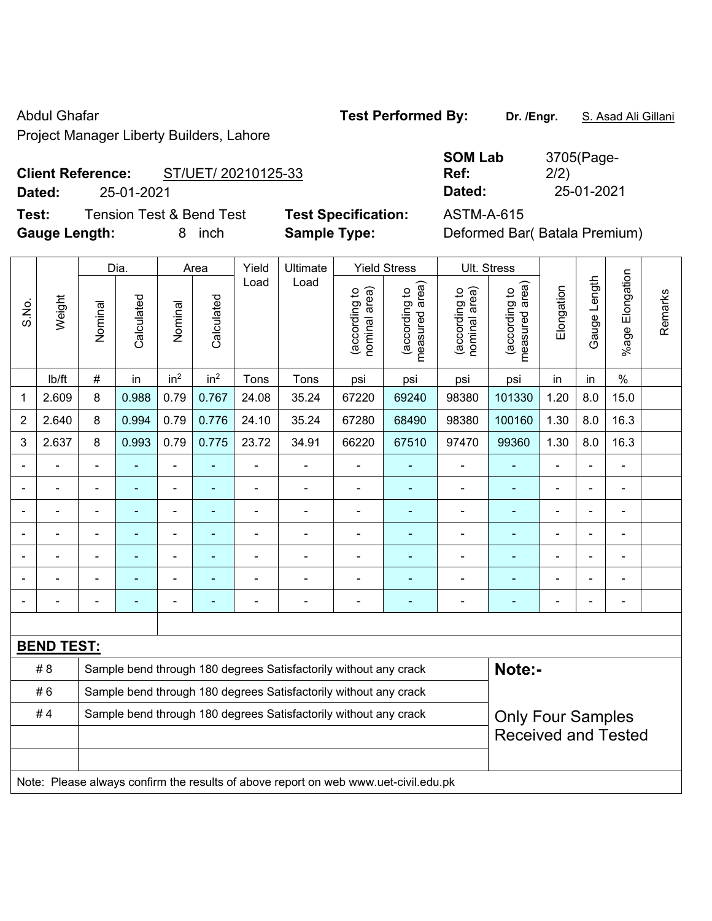Project Manager Liberty Builders, Lahore

# **Client Reference:** ST/UET/ 20210125-33

**Test:** Tension Test & Bend Test **Test Specification:** ASTM-A-615 **Gauge Length:** 8 inch **Sample Type:** Deformed Bar( Batala Premium)

|                          |            |                     | <b>SOM Lab</b> | 3705(Page- |
|--------------------------|------------|---------------------|----------------|------------|
| <b>Client Reference:</b> |            | ST/UET/ 20210125-33 | Ref:           | 2/2)       |
| Dated:                   | 25-01-2021 |                     | Dated:         | 25-01-2021 |

**SOM Lab**  3705(Page-2/2)

|                                                                        |                   |                | Dia.           |                              | Area            | Yield          | Ultimate                                                                            |                                | <b>Yield Stress</b>                         |                                | Ult. Stress                     |                |              |                       |         |
|------------------------------------------------------------------------|-------------------|----------------|----------------|------------------------------|-----------------|----------------|-------------------------------------------------------------------------------------|--------------------------------|---------------------------------------------|--------------------------------|---------------------------------|----------------|--------------|-----------------------|---------|
| S.No.                                                                  | Weight            | Nominal        | Calculated     | Nominal                      | Calculated      | Load           | Load                                                                                | nominal area)<br>(according to | (according to<br>measured area)<br>measured | nominal area)<br>(according to | (according to<br>measured area) | Elongation     | Gauge Length | Elongation<br>$%$ age | Remarks |
|                                                                        | lb/ft             | #              | in             | in <sup>2</sup>              | in <sup>2</sup> | Tons           | Tons                                                                                | psi                            | psi                                         | psi                            | psi                             | in             | in           | $\frac{0}{0}$         |         |
| 1                                                                      | 2.609             | 8              | 0.988          | 0.79                         | 0.767           | 24.08          | 35.24                                                                               | 67220                          | 69240                                       | 98380                          | 101330                          | 1.20           | 8.0          | 15.0                  |         |
| $\overline{2}$                                                         | 2.640             | 8              | 0.994          | 0.79                         | 0.776           | 24.10          | 35.24                                                                               | 67280                          | 68490                                       | 98380                          | 100160                          | 1.30           | 8.0          | 16.3                  |         |
| 3                                                                      | 2.637             | 8              | 0.993          | 0.79                         | 0.775           | 23.72          | 34.91                                                                               | 66220                          | 67510                                       | 97470                          | 99360                           | 1.30           | 8.0          | 16.3                  |         |
|                                                                        |                   |                | $\overline{a}$ | $\overline{a}$               |                 |                |                                                                                     |                                |                                             | $\blacksquare$                 | $\blacksquare$                  |                |              | $\overline{a}$        |         |
|                                                                        |                   |                |                | ä,                           |                 |                |                                                                                     |                                |                                             | ۰                              |                                 |                |              |                       |         |
|                                                                        | -                 | $\blacksquare$ | ä,             | -                            | ٠               | $\blacksquare$ | $\overline{a}$                                                                      | $\blacksquare$                 | ä,                                          | ۰                              | $\blacksquare$                  | ÷              |              | $\overline{a}$        |         |
|                                                                        |                   |                | ۰              | $\qquad \qquad \blacksquare$ | ٠               | $\blacksquare$ | $\blacksquare$                                                                      | $\blacksquare$                 | $\blacksquare$                              | ۰                              | ٠                               | $\blacksquare$ |              | $\blacksquare$        |         |
|                                                                        | $\blacksquare$    |                | $\blacksquare$ | ÷,                           |                 | $\blacksquare$ | $\overline{a}$                                                                      | ä,                             | ٠                                           | ÷                              | $\blacksquare$                  |                |              | $\blacksquare$        |         |
|                                                                        |                   |                |                | ä,                           |                 |                |                                                                                     |                                |                                             | ÷                              | ٠                               |                |              |                       |         |
|                                                                        |                   |                |                | -                            |                 |                |                                                                                     |                                |                                             |                                |                                 |                |              | $\blacksquare$        |         |
|                                                                        |                   |                |                |                              |                 |                |                                                                                     |                                |                                             |                                |                                 |                |              |                       |         |
|                                                                        | <b>BEND TEST:</b> |                |                |                              |                 |                |                                                                                     |                                |                                             |                                |                                 |                |              |                       |         |
|                                                                        | #8                |                |                |                              |                 |                | Sample bend through 180 degrees Satisfactorily without any crack                    |                                |                                             |                                | Note:-                          |                |              |                       |         |
|                                                                        | #6                |                |                |                              |                 |                | Sample bend through 180 degrees Satisfactorily without any crack                    |                                |                                             |                                |                                 |                |              |                       |         |
| #4<br>Sample bend through 180 degrees Satisfactorily without any crack |                   |                |                |                              |                 |                |                                                                                     |                                |                                             |                                | <b>Only Four Samples</b>        |                |              |                       |         |
|                                                                        |                   |                |                |                              |                 |                |                                                                                     |                                | <b>Received and Tested</b>                  |                                |                                 |                |              |                       |         |
|                                                                        |                   |                |                |                              |                 |                |                                                                                     |                                |                                             |                                |                                 |                |              |                       |         |
|                                                                        |                   |                |                |                              |                 |                | Note: Please always confirm the results of above report on web www.uet-civil.edu.pk |                                |                                             |                                |                                 |                |              |                       |         |

# Abdul Ghafar **Test Performed By:** Dr. /Engr. **S. Asad Ali Gillani** Abdul Ghafar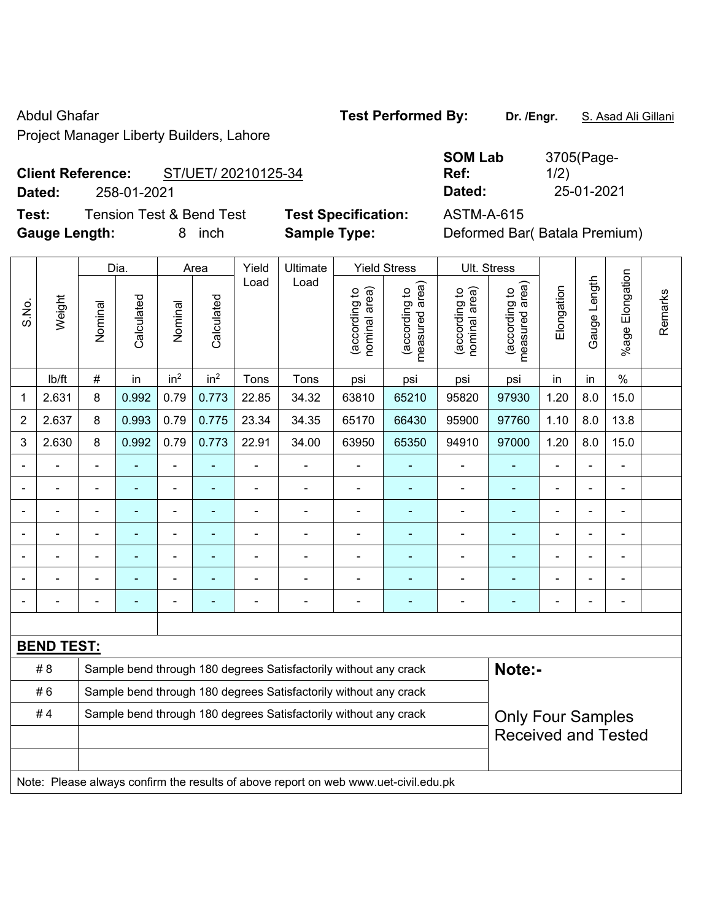Project Manager Liberty Builders, Lahore

**Test:** Tension Test & Bend Test **Test Specification:** ASTM-A-615 **Gauge Length:** 8 inch **Sample Type:** Deformed Bar( Batala Premium)

|                          | <b>TOCUMENTAGE LIDENTY DUNUCIS, LATION</b> |                        |                    |
|--------------------------|--------------------------------------------|------------------------|--------------------|
| <b>Client Reference:</b> | ST/UET/ 20210125-34                        | <b>SOM Lab</b><br>Ref: | 3705(Page-<br>1/2) |
|                          |                                            |                        |                    |
| Dated:                   | 258-01-2021                                | Dated:                 | 25-01-2021         |

|                |                   |                | Dia.           |                 | Area            | Yield                    | Ultimate                                                                            |                                | <b>Yield Stress</b>             |                                | Ult. Stress                     |                |              |                          |         |
|----------------|-------------------|----------------|----------------|-----------------|-----------------|--------------------------|-------------------------------------------------------------------------------------|--------------------------------|---------------------------------|--------------------------------|---------------------------------|----------------|--------------|--------------------------|---------|
| S.No.          | Weight            | Nominal        | Calculated     | Nominal         | Calculated      | Load                     | Load                                                                                | nominal area)<br>(according to | (according to<br>measured area) | (according to<br>nominal area) | (according to<br>measured area) | Elongation     | Gauge Length | Elongation<br>$%$ age    | Remarks |
|                | Ib/ft             | $\#$           | in             | in <sup>2</sup> | in <sup>2</sup> | Tons                     | Tons                                                                                | psi                            | psi                             | psi                            | psi                             | in             | in           | $\%$                     |         |
| 1              | 2.631             | 8              | 0.992          | 0.79            | 0.773           | 22.85                    | 34.32                                                                               | 63810                          | 65210                           | 95820                          | 97930                           | 1.20           | 8.0          | 15.0                     |         |
| $\overline{2}$ | 2.637             | 8              | 0.993          | 0.79            | 0.775           | 23.34                    | 34.35                                                                               | 65170                          | 66430                           | 95900                          | 97760                           | 1.10           | 8.0          | 13.8                     |         |
| 3              | 2.630             | 8              | 0.992          | 0.79            | 0.773           | 22.91                    | 34.00                                                                               | 63950                          | 65350                           | 94910                          | 97000                           | 1.20           | 8.0          | 15.0                     |         |
|                |                   | $\blacksquare$ |                | $\blacksquare$  |                 | $\blacksquare$           | $\blacksquare$                                                                      | $\blacksquare$                 |                                 | $\blacksquare$                 |                                 | ä,             |              | $\overline{\phantom{a}}$ |         |
|                | ä,                | ÷,             | $\blacksquare$ | ä,              | $\blacksquare$  | $\blacksquare$           | ä,                                                                                  | $\blacksquare$                 | ٠                               | $\blacksquare$                 | $\blacksquare$                  | $\blacksquare$ |              | $\blacksquare$           |         |
|                |                   |                |                |                 |                 |                          | L.                                                                                  | $\blacksquare$                 |                                 |                                |                                 |                |              | $\blacksquare$           |         |
|                |                   | $\blacksquare$ |                | $\blacksquare$  |                 |                          |                                                                                     | $\blacksquare$                 |                                 | $\blacksquare$                 |                                 |                |              | $\blacksquare$           |         |
|                | $\blacksquare$    | $\blacksquare$ |                | $\blacksquare$  | $\blacksquare$  |                          | ÷                                                                                   | $\blacksquare$                 |                                 | $\overline{\phantom{0}}$       | $\blacksquare$                  | $\blacksquare$ |              | $\blacksquare$           |         |
|                |                   |                |                |                 |                 |                          | L.                                                                                  | $\blacksquare$                 |                                 | $\blacksquare$                 |                                 | $\blacksquare$ |              | $\blacksquare$           |         |
|                |                   | $\blacksquare$ | $\blacksquare$ | $\overline{a}$  | $\blacksquare$  | $\overline{\phantom{0}}$ | ٠                                                                                   | $\qquad \qquad \blacksquare$   | ۰                               | $\overline{\phantom{a}}$       | $\blacksquare$                  | $\blacksquare$ |              | $\overline{a}$           |         |
|                |                   |                |                |                 |                 |                          |                                                                                     |                                |                                 |                                |                                 |                |              |                          |         |
|                | <b>BEND TEST:</b> |                |                |                 |                 |                          |                                                                                     |                                |                                 |                                |                                 |                |              |                          |         |
|                | #8                |                |                |                 |                 |                          | Sample bend through 180 degrees Satisfactorily without any crack                    |                                |                                 |                                | Note:-                          |                |              |                          |         |
|                | #6                |                |                |                 |                 |                          | Sample bend through 180 degrees Satisfactorily without any crack                    |                                |                                 |                                |                                 |                |              |                          |         |
|                | #4                |                |                |                 |                 |                          | Sample bend through 180 degrees Satisfactorily without any crack                    |                                |                                 |                                | <b>Only Four Samples</b>        |                |              |                          |         |
|                |                   |                |                |                 |                 |                          |                                                                                     |                                |                                 |                                | <b>Received and Tested</b>      |                |              |                          |         |
|                |                   |                |                |                 |                 |                          |                                                                                     |                                |                                 |                                |                                 |                |              |                          |         |
|                |                   |                |                |                 |                 |                          | Note: Please always confirm the results of above report on web www.uet-civil.edu.pk |                                |                                 |                                |                                 |                |              |                          |         |

Abdul Ghafar **Test Performed By:** Dr. /Engr. **S. Asad Ali Gillani** Abdul Ghafar